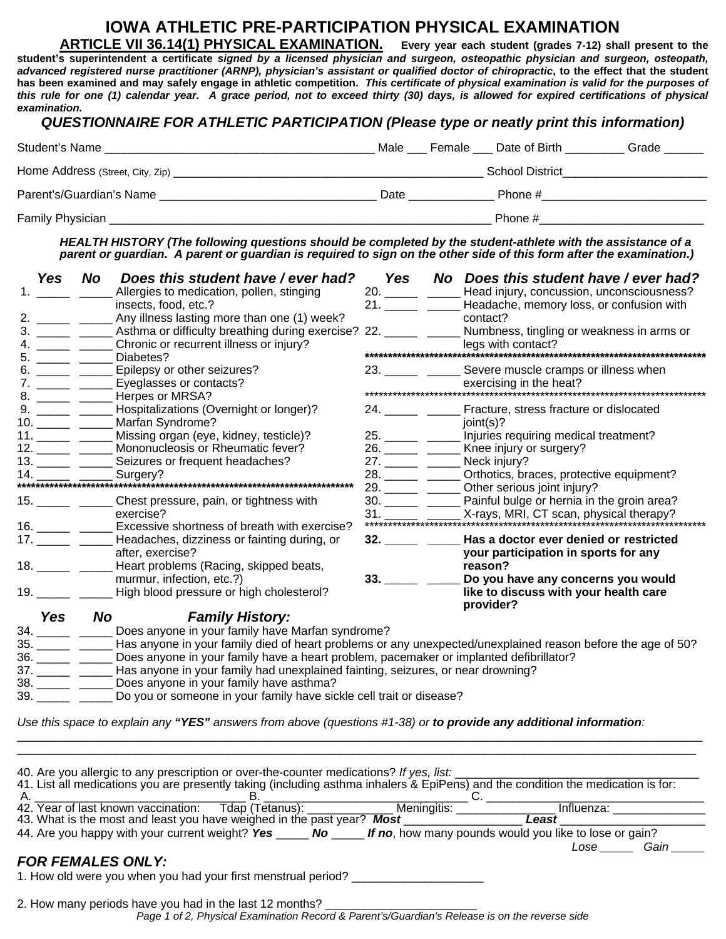## **IOWA ATHLETIC PRE-PARTICIPATION PHYSICAL EXAMINATION**

**ARTICLE VII 36.14(1) PHYSICAL EXAMINATION. Every year each student (grades 7-12) shall present to the student's superintendent a certificate** *signed by a licensed physician and surgeon, osteopathic physician and surgeon, osteopath, advanced registered nurse practitioner (ARNP), physician's assistant or qualified doctor of chiropractic***, to the effect that the student has been examined and may safely engage in athletic competition.** *This certificate of physical examination is valid for the purposes of this rule for one (1) calendar year. A grace period, not to exceed thirty (30) days, is allowed for expired certifications of physical examination.*

## *QUESTIONNAIRE FOR ATHLETIC PARTICIPATION (Please type or neatly print this information)*

| Student's Name                   | Male | Female Date of Birth   | Grade |
|----------------------------------|------|------------------------|-------|
| Home Address (Street, City, Zip) |      | <b>School District</b> |       |
| Parent's/Guardian's Name         | Date | Phone #                |       |
| Family Physician                 |      | Phone #                |       |

*HEALTH HISTORY (The following questions should be completed by the student-athlete with the assistance of a parent or guardian. A parent or guardian is required to sign on the other side of this form after the examination.)*

| Yes<br>2. _______ _____<br>4. ______ _____ | <b>No</b> | Does this student have / ever had?<br>Allergies to medication, pollen, stinging<br>insects, food, etc.?<br>Any illness lasting more than one (1) week?<br>Asthma or difficulty breathing during exercise? 22. _______ _____<br>Chronic or recurrent illness or injury? | Yes | No Does this student have / ever had?<br>20. ________ ________ Head injury, concussion, unconsciousness?<br>Headache, memory loss, or confusion with<br>contact?<br>Numbness, tingling or weakness in arms or |
|--------------------------------------------|-----------|------------------------------------------------------------------------------------------------------------------------------------------------------------------------------------------------------------------------------------------------------------------------|-----|---------------------------------------------------------------------------------------------------------------------------------------------------------------------------------------------------------------|
| 5. $\frac{1}{\sqrt{2}}$<br>6. ______ _____ |           | Diabetes?<br>Epilepsy or other seizures?                                                                                                                                                                                                                               |     | 23. _______________________ Severe muscle cramps or illness when                                                                                                                                              |
| 7. ______ _____                            |           | Eyeglasses or contacts?                                                                                                                                                                                                                                                |     | exercising in the heat?                                                                                                                                                                                       |
| 8. _______ ______                          |           | Herpes or MRSA?<br>9. _______ _______ Hospitalizations (Overnight or longer)?                                                                                                                                                                                          |     | 24. ________ _______ Fracture, stress fracture or dislocated                                                                                                                                                  |
|                                            |           | 10. _______ ______ Marfan Syndrome?                                                                                                                                                                                                                                    |     | joint(s)?                                                                                                                                                                                                     |
|                                            |           | 11. _______ ______ Missing organ (eye, kidney, testicle)?                                                                                                                                                                                                              |     | Injuries requiring medical treatment?                                                                                                                                                                         |
|                                            |           | Mononucleosis or Rheumatic fever?                                                                                                                                                                                                                                      |     | 26. _______ ______ Knee injury or surgery?                                                                                                                                                                    |
|                                            |           | 13. _____________________ Seizures or frequent headaches?                                                                                                                                                                                                              |     | Neck injury?                                                                                                                                                                                                  |
|                                            |           | Surgery?                                                                                                                                                                                                                                                               |     | 28. ________ ______ Orthotics, braces, protective equipment?                                                                                                                                                  |
|                                            |           |                                                                                                                                                                                                                                                                        |     | 29. _________ ______ Other serious joint injury?                                                                                                                                                              |
|                                            |           | 15. __________________ Chest pressure, pain, or tightness with                                                                                                                                                                                                         |     | 30. _______ _______ Painful bulge or hernia in the groin area?                                                                                                                                                |
|                                            |           | exercise?                                                                                                                                                                                                                                                              |     | 31. X-rays, MRI, CT scan, physical therapy?                                                                                                                                                                   |
|                                            |           | 16. __________________ Excessive shortness of breath with exercise?                                                                                                                                                                                                    |     |                                                                                                                                                                                                               |
| 17. _________ ______                       |           | Headaches, dizziness or fainting during, or                                                                                                                                                                                                                            |     | Has a doctor ever denied or restricted                                                                                                                                                                        |
|                                            |           | after, exercise?<br>Heart problems (Racing, skipped beats,                                                                                                                                                                                                             |     | your participation in sports for any<br>reason?                                                                                                                                                               |
|                                            |           | murmur, infection, etc.?)                                                                                                                                                                                                                                              |     | Do you have any concerns you would                                                                                                                                                                            |
|                                            |           | 19. ______ ______ High blood pressure or high cholesterol?                                                                                                                                                                                                             |     | like to discuss with your health care                                                                                                                                                                         |
|                                            |           |                                                                                                                                                                                                                                                                        |     | provider?                                                                                                                                                                                                     |
| Yes                                        |           | No Family History:                                                                                                                                                                                                                                                     |     |                                                                                                                                                                                                               |
|                                            |           | Does anyone in your family have Marfan syndrome?                                                                                                                                                                                                                       |     |                                                                                                                                                                                                               |
|                                            |           | Has anyone in your family died of heart problems or any unexpected/unexplained reason before the age of 50?                                                                                                                                                            |     |                                                                                                                                                                                                               |
|                                            |           | Does anyone in your family have a heart problem, pacemaker or implanted defibrillator?                                                                                                                                                                                 |     |                                                                                                                                                                                                               |
|                                            |           | Has anyone in your family had unexplained fainting, seizures, or near drowning?                                                                                                                                                                                        |     |                                                                                                                                                                                                               |
|                                            |           | Does anyone in your family have asthma?                                                                                                                                                                                                                                |     |                                                                                                                                                                                                               |
| 39.                                        |           | Do you or someone in your family have sickle cell trait or disease?                                                                                                                                                                                                    |     |                                                                                                                                                                                                               |

*Use this space to explain any "YES" answers from above (questions #1-38) or to provide any additional information:*

| 40. Are you allergic to any prescription or over-the-counter medications? If yes, list:                                          |              |  |
|----------------------------------------------------------------------------------------------------------------------------------|--------------|--|
| 41. List all medications you are presently taking (including asthma inhalers & EpiPens) and the condition the medication is for: |              |  |
| A.                                                                                                                               |              |  |
| 42. Year of last known vaccination: Tdap (Tetanus): Meningitis: Meningitis:                                                      | Influenza:   |  |
| 43. What is the most and least you have weighed in the past year? <b>Most</b>                                                    | Least        |  |
| 44. Are you happy with your current weight? Yes _____ No _____ If no, how many pounds would you like to lose or gain?            |              |  |
|                                                                                                                                  | Gain<br>Lose |  |
| <b>FOR FEMALES ONLY:</b>                                                                                                         |              |  |
| 1. How old were you when you had your first menstrual period?                                                                    |              |  |
|                                                                                                                                  |              |  |

\_\_\_\_\_\_\_\_\_\_\_\_\_\_\_\_\_\_\_\_\_\_\_\_\_\_\_\_\_\_\_\_\_\_\_\_\_\_\_\_\_\_\_\_\_\_\_\_\_\_\_\_\_\_\_\_\_\_\_\_\_\_\_\_\_\_\_\_\_\_\_\_\_\_\_\_\_\_\_\_\_\_\_\_\_\_\_\_\_\_\_\_\_\_\_\_\_\_\_\_\_\_\_\_

2. How many periods have you had in the last 12 months?

*Page 1 of 2, Physical Examination Record & Parent's/Guardian's Release is on the reverse side*